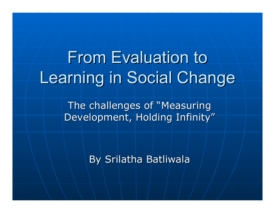# **From Evaluation to** Learning in Social Change

The challenges of "Measuring" Development, Holding Infinity"

By Srilatha Batliwala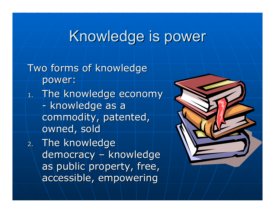## Knowledge is power

Two forms of knowledge power:  $_{\rm 1.}$  The knowledge economy  $_{\rm 1.}$ -- knowledge as a commodity, patented, owned, sold  $\,$  2. The knowledge  $\,$ democracy  $\mathcal{L}_{\mathcal{A}}$  $\dashv$  knowledge as public property, free, accessible, empowering accessible, empowering

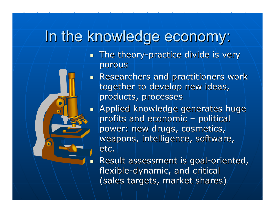## In the knowledge economy:

 $\overline{\phantom{0}}$ 

**The theory-practice divide is very** porous

Researchers and practitioners work together to develop new ideas, products, processes

**Applied knowledge generates huge 4** profits and economic  $\mid$ –– political power: new drugs, cosmetics, weapons, intelligence, software, etc.

 $\blacksquare$  Result assessment is goal-oriented, flexible-dynamic, and critical (sales targets, market shares)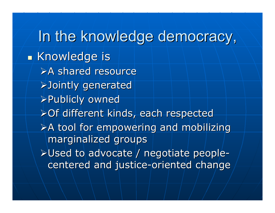In the knowledge democracy,  $\blacksquare$  Knowledge is  $\triangleright$ A shared resource ¾Jointly generated Jointly generated ¾Publicly owned Publicly owned > Of different kinds, each respected  $\triangleright$ A tool for empowering and mobilizing marginalized groups  $\triangleright$ Used to advocate / negotiate people centered and justice-oriented change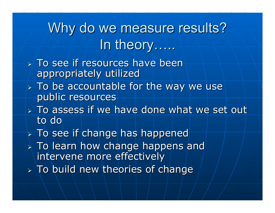# Why do we measure results? In theory……

- $>$  To see if resources have been appropriately utilized
- $>$  To be accountable for the way we use public resources
- $\triangleright$  To assess if we have done what we set out to do
- $\triangleright$  To see if change has happened
- $\triangleright$  To learn how change happens and intervene more effectively
- $\triangleright$  To build new theories of change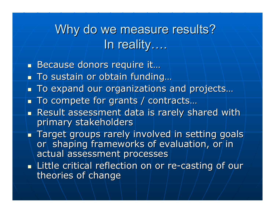Why do we measure results? In reality….

■ Because donors require it…

- $\blacksquare$  To sustain or obtain funding…
- To expand our organizations and projects…
- $\blacksquare$  To compete for grants / contracts...
- **Result assessment data is rarely shared with Result assessment data is rarely shared with** primary stakeholders
- $\blacksquare$  Target groups rarely involved in setting goals  $\blacksquare$ or shaping frameworks of evaluation, or in actual assessment processes
- $\blacksquare$  Little critical reflection on or re-casting of ourtheories of change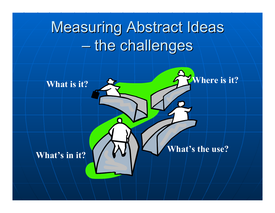# **Measuring Abstract Ideas**  $-$  the challenges

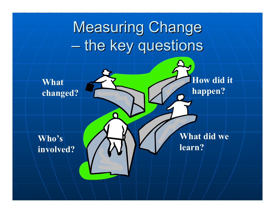Measuring Change  $-$  the key questions

**What changed?**

**Who's involved?**

**What did we learn?**

**How did it** 

**happen?**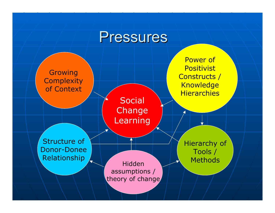### Pressures

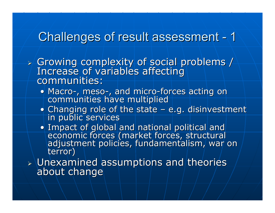#### Challenges of result assessment - $-1$

- ¾Growing complexity of social problems /<br>Increase of variables affecting<br>Communities: communities:
	- Macro -Macro-, meso-, and micro-forces acting on<br>communities have multiplied
	- $\bullet$  Changing role of the state  $\mathcal{L}_{\mathcal{A}}$ Changing role of the state – e.g. disinvestment<br>in public services
	- Impact of global and national political and Impact of global and national political and <br>Influences (Imarket forces, structural adjustment policies, fundamentalism, war on<br>terror)

¾Dunexamined assumptions and theories<br>about change about change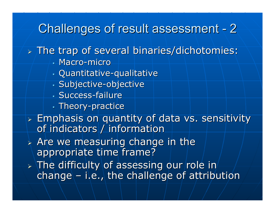### Challenges of result assessment - 2

### $\triangleright$  The trap of several binaries/dichotomies:

- Macro-micro
- ш **Quantitative-qualitative**
- Subjective-objective
- **Success-failure**
- $\blacksquare$  Theory-practice
- $\triangleright$  Emphasis on quantity of data vs. sensitivity of indicators / information
- $\triangleright$  Are we measuring change in the appropriate time frame?
- $\triangleright$  The difficulty of assessing our role in  $\vdash$  $channel - i.e.,$  the challenge of attribution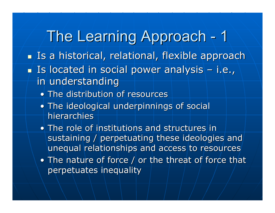The Learning Approach 1  $\blacksquare$  Is a historical, relational, flexible approach  $\blacksquare$  Is located in social power analysis  $\mathcal{L}_{\mathcal{A}}$  i.e., in understanding

- $\bullet$  The distribution of resources
- The ideological underpinnings of social hierarchies
- $\bullet$  The role of institutions and structures in sustaining / perpetuating these ideologies and unequal relationships and access to resources
- The nature of force  $/$  or the threat of force that perpetuates inequality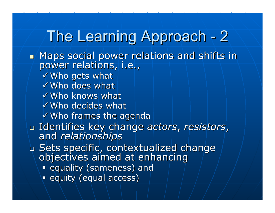#### The Learning Approach 2

 $\mathbb{Z}^2$ Maps social power relations and shifts in Maps social power relations, i.e., power relations, i.e.,

- $\checkmark$  Who gets what
- $\checkmark$  Who does what
- $\checkmark$  Who knows what
- $\checkmark$  Who decides what
- $\checkmark$  Who frames the agenda
- $\Box$ Identifies key change Identifies key change *actors*, *resistors resistors*, and *relationships relationships*
- $\overline{\phantom{a}}$ a Sets specific, contextualized change<br>objectives aimed at enhancing
	- **Example 3 and Equality (sameness) and**
	- **equity (equal access)**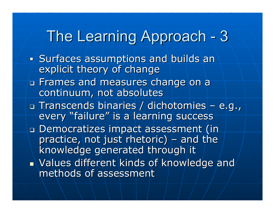#### The Learning Approach 3

- П Surfaces assumptions and builds and explicit theory of change
- Frames and measures change on a Frames and measures change on a continuum, not absolutes
- a Transcends binaries / dichotomies – e.g., every "failure" is a learning success
- Democratizes impact assessment (in Democratizes impact assessment (in practice, not just rhetoric)  $_{\rm I}$ – $\vdash$  and the knowledge generated through it  $\blacksquare$  Values different kinds of knowledge and  $\blacktriangle$ methods of assessment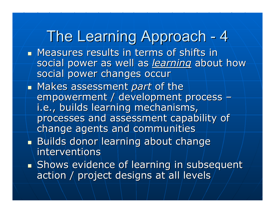**Neasures results in terms of shifts in Artical Extendio** social power as well as *learning* about how social power changes occur **By Makes assessment** *part* **of the** empowerment / development process –i.e., builds learning mechanisms, processes and assessment capability of change agents and communities Builds donor learning about change interventions **Shows evidence of learning in subsequent Shows evidence of learning in subsequent** action / project designs at all levels The Learning Approach 4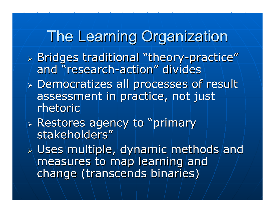## **The Learning Organization**

- $\triangleright$  Bridges traditional "theory-practice" and "research-action" divides
- ¾ Democratizes all processes of result Democratizes all processes of result assessment in practice, not just rhetoric
- $\triangleright$  Restores agency to "primary stakeholders"
- $\triangleright$  Uses multiple, dynamic methods and measures to map learning and change (transcends binaries)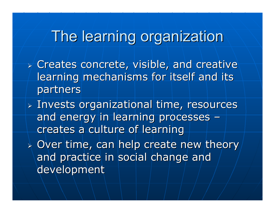## The learning organization

- $\triangleright$  Creates concrete, visible, and creative learning mechanisms for itself and its partners
- $>$  Invests organizational time, resources and energy in learning processes –creates a culture of learning
- $\triangleright$  Over time, can help create new theory  $\vert$ and practice in social change and development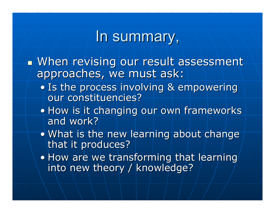### In summary,

- When revising our result assessment approaches, we must ask:
	- Is the process involving & empowering our constituencies?
	- How is it changing our own frameworks and work?
	- What is the new learning about change that it produces?
	- $\bullet$  How are we transforming that learning into new theory / knowledge?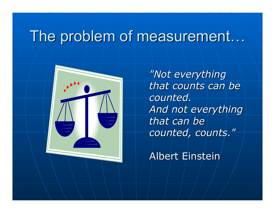### The problem of measurement...



*"Not everything "Not everything that counts can be counted. counted. And not everything And not everything that can be counted, counts." counted, counts."*

Albert Einstein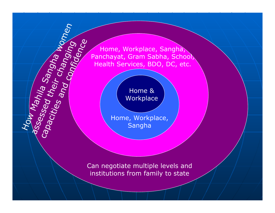Home, Workplace, Sangha, Panchayat, Gram Sabha, School Health Services, BDO, DC, etc.

> Home & **Workplace**

How Mahila Sangha women

assessed that Sanghamage

Home, Workplace, Sangha

Can negotiate multiple levels and institutions from family to state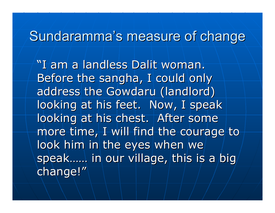### Sundaramma's measure of change

"I am a landless Dalit woman. Before the sangha, I could only address the Gowdaru (landlord) looking at his feet. Now, I speak looking at his chest. After some more time, I will find the courage to look him in the eyes when we speak…… in our village, this is a big change!"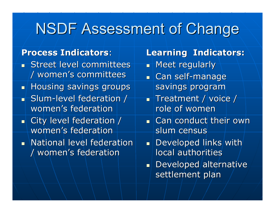# NSDF Assessment of Change

### **Process Indicators Process Indicators**:

- $\blacksquare$  Street level committees / women's committees / women's committees
- $\blacksquare$  Housing savings groups
- $\blacksquare$  Slum-level federation  $\digamma$ women's federation
- $\blacksquare$  City level federation / women's federation
- $\blacksquare$  National level federation / women's federation / women's federation

### **Learning Indicators: Learning Indicators:**

- $\blacksquare$  Meet regularly
- **L** Can self-manage savings program
- $\blacksquare$  Treatment / voice / role of women
- $\blacksquare$  Can conduct their own slum census
- . . Developed links with local authorities
- ▆ᢢ▁ Developed alternative settlement plan